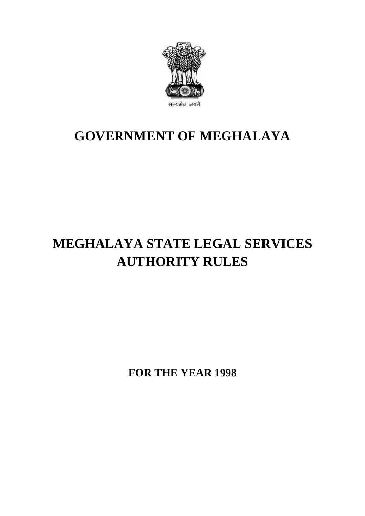

### **GOVERNMENT OF MEGHALAYA**

## **MEGHALAYA STATE LEGAL SERVICES AUTHORITY RULES**

**FOR THE YEAR 1998**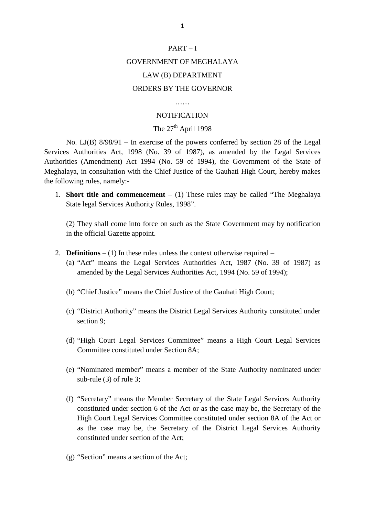### $PART - I$ GOVERNMENT OF MEGHALAYA LAW (B) DEPARTMENT ORDERS BY THE GOVERNOR

#### ……

#### **NOTIFICATION**

### The  $27<sup>th</sup>$  April 1998

No. LJ(B) 8/98/91 – In exercise of the powers conferred by section 28 of the Legal Services Authorities Act, 1998 (No. 39 of 1987), as amended by the Legal Services Authorities (Amendment) Act 1994 (No. 59 of 1994), the Government of the State of Meghalaya, in consultation with the Chief Justice of the Gauhati High Court, hereby makes the following rules, namely: vices Authorities Act, 1998 (No. 39 of 1987), as amended by the Legal Services<br>horities (Amendment) Act 1994 (No. 59 of 1994), the Government of the State of<br>ghalaya, in consultation with the Chief Justice of the Gauhati H

State legal Services Authority Rules, 1998". (2) They shall come into force on such as the State Government may by notification (2) They shall come into force on such as the State Government may by notification

in the official Gazette appoint.

- 2. **Definitions** (1) In these rules unless the context otherwise required
	- (a) "Act" means the Legal Services Authorities Act, 1987 (No. 39 of 1987) as amended by the Legal Services Authorities Act, 1994 (No. 59 of 1994);
	- (b) "Chief Justice" means the Chief Justice of the Gauhati High Court;
	- (c) "District Authority" means the District Legal Services Authority constituted under section 9;
	- (d) "High Court Legal Services Committee" means a High Court Legal Services Committee constituted under Section 8A;
	- sub-rule (3) of rule 3;
	- (e) "Nominated member" means a member of the State Authority nominated under<br>sub-rule (3) of rule 3;<br>(f) "Secretary" means the Member Secretary of the State Legal Services Authority<br>constituted under section 6 of the Act o (f) "Secretary" means the Member Secretary of the State Legal Services Authority High Court Legal Services Committee constituted under section 8A of the Act or as the case may be, the Secretary of the District Legal Services Authority constituted under section of the Act;
	- (g) "Section" means a section of the Act;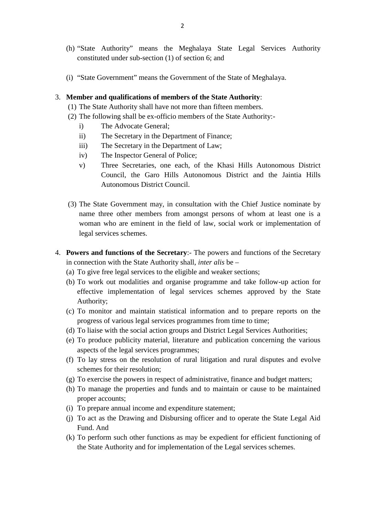- (h) "State Authority" means the Meghalaya State Legal Services Authority constituted under sub-section (1) of section 6; and 3. **Member and qualifications of members of the State Authority**:<br>
(1) The State Authority shall have not more than fifteen members.
	- (i) "State Government" means the Government of the State of Meghalaya. (i) "State Government" means the Government of the State of Meghala<br>Member and qualifications of members of the State Authority:<br>(1) The State Authority shall have not more than fifteen members.<br>(2) The following shall be (i) "State Government" means the Government of the State of Meghalaya.<br> **Member and qualifications of members of the State Authority**:<br>
	(1) The State Authority shall have not more than fifteen members.<br>
	(2) The following s

- mber and qualifications of member<br>The State Authority shall have not r<br>The following shall be ex-officio mo<br>i) The Advocate General;<br>ii) The Secretary in the Departr mumber and qualifications of members of the State Author<br>The State Authority shall have not more than fifteen men<br>The following shall be ex-officio members of the State A<br>i) The Advocate General;<br>ii) The Secretary in the D The State Authority shall have not more than fifteen r<br>
The following shall be ex-officio members of the Stat<br>
i) The Advocate General;<br>
ii) The Secretary in the Department of Finance;<br>
iii) The Secretary in the Department
- -
	-
	-
	-
- The following shall be ex-officio members of<br>
i) The Advocate General;<br>
ii) The Secretary in the Department of Fi<br>
iii) The Secretary in the Department of L<br>
iv) The Inspector General of Police;<br>
v) Three Secretaries, one v) The Advocate General;<br>
ii) The Secretary in the Department of Finance;<br>
iii) The Secretary in the Department of Law;<br>
iv) The Inspector General of Police;<br>
v) Three Secretaries, one each, of the Khasi Hills Autonomous D Council, the Garo Hills Autonomous District and the Jaintia Hills Autonomous District Council. (3) Three Secretaries, one each, of the Khasi Hills Autonomous District<br>Council, the Garo Hills Autonomous District and the Jaintia Hills<br>Autonomous District Council.<br>(3) The State Government may, in consultation with the
- name three other members from amongst persons of whom at least one is a woman who are eminent in the field of law, social work or implementation of legal services schemes. name three other members from amongst persons of whom at least one is a<br>woman who are eminent in the field of law, social work or implementation of<br>legal services schemes.<br>4. **Powers and functions of the Secretary**:- The p
- in connection with the State Authority shall, *inter alis* be 4. **Powers and functions of the Secretary**:- The powers and functions of the Secretary<br>in connection with the State Authority shall, *inter alis* be –<br>(a) To give free legal services to the eligible and weaker sections;<br>(
	-
- **Powers and functions of the Secretary**:- The powers and functions of the Secretary<br>in connection with the State Authority shall, *inter alis* be –<br>(a) To give free legal services to the eligible and weaker sections;<br>(b) **effective** implementation of the **Secretary**:- The powers and functions of the Secretary onnection with the State Authority shall, *inter alis* be – To give free legal services to the eligible and weaker sections;<br>To work Authority; (a) To give free legal services to the eligible and weaker sections;<br>
(b) To work out modalities and organise programme and take follow-up action for<br>
effective implementation of legal services schemes approved by the Stat effective implementation of legal services schemes approved by the State<br>Authority;<br>(c) To monitor and maintain statistical information and to prepare reports on the<br>progress of various legal services programmes from time
	- progress of various legal services programmes from time to time; Authority;<br>
	(c) To monitor and maintain statistical information and to prepare reports on the<br>
	progress of various legal services programmes from time to time;<br>
	(d) To liaise with the social action groups and District Lega
	-
	- aspects of the legal services programmes;
	- progress of various legal services programmes from time to time;<br>
	(d) To liaise with the social action groups and District Legal Services Authorities;<br>
	(e) To produce publicity material, literature and publication concerni schemes for their resolution; (e) To produce publicity material, literature and publication concerning the various aspects of the legal services programmes;<br>(f) To lay stress on the resolution of rural litigation and rural disputes and evolve schemes f aspects of the legal services programmes;<br>
	(f) To lay stress on the resolution of rural litigation and rural disputes and evolve<br>
	schemes for their resolution;<br>
	(g) To exercise the powers in respect of administrative, fina
	-
	- proper accounts; (g) To exercise the powers in respect of administrative, finance and budget matters;<br>
	(h) To manage the properties and funds and to maintain or cause to be maintained<br>
	proper accounts;<br>
	(i) To prepare annual income and exp (g) To exercise the powers in respect of administrative, finance and budget matters;<br>
	(h) To manage the properties and funds and to maintain or cause to be maintained<br>
	proper accounts;<br>
	(i) To prepare annual income and exp
	-
	- Fund. And
	- (i) To prepare annual income and expenditure statement;<br>
	(j) To act as the Drawing and Disbursing officer and to operate the State Legal Aid<br>
	Fund. And<br>
	(k) To perform such other functions as may be expedient for efficient the State Authority and for implementation of the Legal services schemes.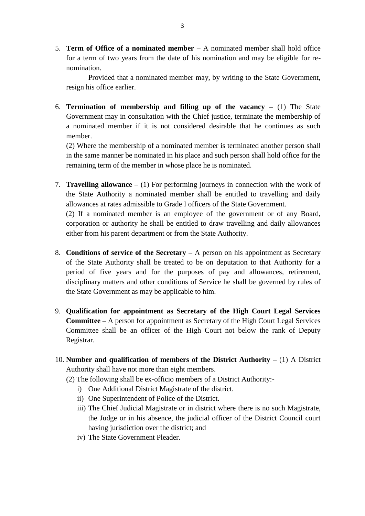5. **Term of Office of a nominated member** – A nominated member shall hold office for a term of two years from the date of his nomination and may be eligible for renomination.

Provided that a nominated member may, by writing to the State Government, resign his office earlier.

6. **Termination of membership and filling up of the vacancy** – (1) The State Government may in consultation with the Chief justice, terminate the membership of a nominated member if it is not considered desirable that he continues as such member. Government may in consultation with the Chief justice, terminate the membership of a nominated member if it is not considered desirable that he continues as such member.<br>(2) Where the membership of a nominated member is te

(2) Where the membership of a nominated member is terminated another person shall remaining term of the member in whose place he is nominated. 12. The same manner be nominated in his place and such person shall hold office for the remaining term of the member in whose place he is nominated.<br>
13. **Travelling allowance** – (1) For performing journeys in connection

in the same manner be nominated in his place and such person shall hold office for the remaining term of the member in whose place he is nominated.<br> **Travelling allowance**  $- (1)$  For performing journeys in connection with Fravelling allowance  $-$  (1) For performing journeys in connection with the v<br>the State Authority a nominated member shall be entitled to travelling and<br>allowances at rates admissible to Grade I officers of the State Gove **Travelling allowance**  $- (1)$  For performing journeys in connection with the work of the State Authority a nominated member shall be entitled to travelling and daily allowances at rates admissible to Grade I officers of t

corporation or authority he shall be entitled to draw travelling and daily allowances the State Authority a nominated member shall be entitled to the allowances at rates admissible to Grade I officers of the State Government (2) If a nominated member is an employee of the government corporation or authority

- 8. **Conditions of service of the Secretary** A person on his appointment as Secretary of the State Authority shall be treated to be on deputation to that Authority for a period of five years and for the purposes of pay and allowances, retirement, **Conditions of service of the Secretary**  $- A$  person on his appointment as Secretary of the State Authority shall be treated to be on deputation to that Authority for a period of five years and for the purposes of pay and the State Government as may be applicable to him.
- 9. **Qualification for appointment as Secretary of the High Court Legal Services Committee** – A person for appointment as Secretary of the High Court Legal Services Committee shall be an officer of the High Court not below the rank of Deputy Registrar.
- 10. **Number and qualification of members of the District Authority** (1) A District Authority shall have not more than eight members. mber and qualification of members of the District Au<br>hority shall have not more than eight members.<br>The following shall be ex-officio members of a District A<br>i) One Additional District Magistrate of the district.<br>ii) One S mber and qualification of members of the District<br>hority shall have not more than eight members.<br>The following shall be ex-officio members of a Distric.<br>i) One Additional District Magistrate of the district.<br>ii) One Superi
	- (2) The following shall be ex-officio members of a District Authority:-
		-
		-
		- i) One Additional District Magistrate of the district.<br>
		ii) One Superintendent of Police of the District.<br>
		iii) The Chief Judicial Magistrate or in district where there is no such Magistrate. the Judge or in his absence, the judicial officer of the District Council court having jurisdiction over the district; and ii) One Superintendent of Police o<br>iii) The Chief Judicial Magistrate of<br>the Judge or in his absence, the<br>having jurisdiction over the dis-<br>iv) The State Government Pleader.
		-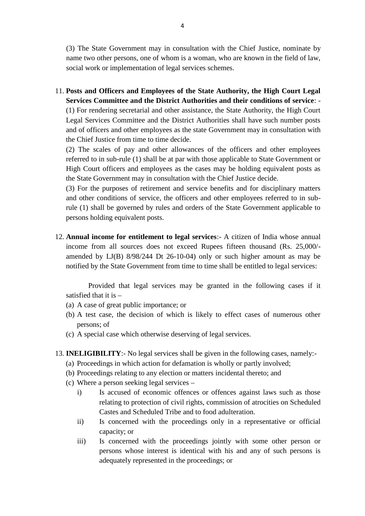(3) The State Government may in consultation with the Chief Justice, nominate by name two other persons, one of whom is a woman, who are known in the field of law, social work or implementation of legal services schemes.

11. **Posts and Officers and Employees of the State Authority, the High Court Legal** name two other persons, one of whom is a woman, who are known in the field of law, social work or implementation of legal services schemes.<br> **Posts and Officers and Employees of the State Authority, the High Court Legal Se** 

Legal Services Committee and the District Authorities shall have such number posts and of officers and other employees as the state Government may in consultation with the Chief Justice from time to time decide.

(2) The scales of pay and other allowances of the officers and other employees referred to in sub-rule (1) shall be at par with those applicable to State Government or High Court officers and employees as the cases may be holding equivalent posts as the State Government may in consultation with the Chief Justice decide.

(3) For the purposes of retirement and service benefits and for disciplinary matters and other conditions of service, the officers and other employees referred to in subrule (1) shall be governed by rules and orders of the State Government applicable to persons holding equivalent posts. 12. **Annual income for entitlement to legal services**: A citizen of India whose annual income from all sources does not exceed Rupees fifteen thousand (Rs. 25,000/-

income from all sources does not exceed Rupees fifteen thousand (Rs. 25,000/ amended by LJ(B) 8/98/244 Dt 26-10-04) only or such higher amount as may be notified by the State Government from time to time shall be entitled to legal services:

Provided that legal services may be granted in the following cases if it satisfied that it is – motified by the State Government from time to<br>Provided that legal services may be<br>satisfied that it is –<br>(a) A case of great public importance; or<br>(b) A test case, the decision of which is like

- 
- Provided that legal services may be granted in the following cases if it<br>satisfied that it is –<br>(a) A case of great public importance; or<br>(b) A test case, the decision of which is likely to effect cases of numerous other<br>p persons; of satisfied that it is  $-$ <br>(a) A case of great public importance; or<br>(b) A test case, the decision of which is likely to effect cases e<br>persons; of<br>(c) A special case which otherwise deserving of legal services. 13. **INELIGIBILITY:** No legal services shall be given in the following cases, namely:<br>
13. **INELIGIBILITY:** No legal services shall be given in the following cases, namely:-<br>
13. **INELIGIBILITY:** No legal services shall be (c) A special case which otherwise deserving of legal services.<br> **INELIGIBILITY**:- No legal services shall be given in the following cases, name<br>
(a) Proceedings in which action for defamation is wholly or partly involved;
	-
- (c) A special case which otherwise deserving of legal services.<br> **INELIGIBILITY**:- No legal services shall be given in the following cases, namel<br>
(a) Proceedings in which action for defamation is wholly or partly involved
	-
	-
	-
	- INELIGIBILITY:- No legal services shall be given<br>(a) Proceedings in which action for defamation is which (b) Proceedings relating to any election or matters in<br>(c) Where a person seeking legal services –<br>i) Is accused of e **ELIGIBILITY:** No legal services shall be given in the following cases, namely:<br>Proceedings in which action for defamation is wholly or partly involved;<br>Proceedings relating to any election or matters incidental thereto; a (b) Proceedings relating to any election or matters incidental thereto; and<br>
	(c) Where a person seeking legal services –<br>
	i) Is accused of economic offences or offences against laws such as those<br>
	relating to protection of Castes and Scheduled Tribe and to food adulteration. Where a person seeking legal services –<br>i) Is accused of economic offences or offences against laws such as those<br>relating to protection of civil rights, commission of atrocities on Scheduled<br>Castes and Scheduled Tribe and relating to protection of civil rights, commission of atrocities on Scheduled<br>Castes and Scheduled Tribe and to food adulteration.<br>Is concerned with the proceedings only in a representative or official<br>capacity; or<br>Is conc
		- capacity; or
		- persons whose interest is identical with his and any of such persons is Is concerned with the proceedings only in capacity; or<br>Is concerned with the proceedings jointly<br>persons whose interest is identical with his<br>adequately represented in the proceedings; or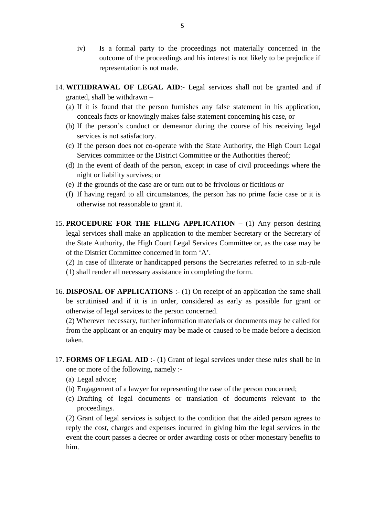- iv) Is a formal party to the proceedings not materially concerned in the outcome of the proceedings and his interest is not likely to be prejudice if outcome of the proceedings and his interest is not likely to be prejudice if representation is not made. 14. **WITHDRAWAL OF LEGAL AID**: Legal services shall not be granted and if granted, shall be withdrawn –
- granted, shall be withdrawn THE EXAL OF LEGAL AID:- Legal services shall not be granted and if granted, shall be withdrawn –<br>(a) If it is found that the person furnishes any false statement in his application, conceals facts or knowingly makes false
	- conceals facts or knowingly makes false statement concerning his case, or (a) If it is found that the person furnishes any false statement in his application,
	- (b) If the person's conduct or demeanor during the course of his receiving legal<br>services is not satisfactory.<br>(c) If the person does not co-operate with the State Authority, the High Court Legal<br>Services committee or the services is not satisfactory.
	- Services committee or the District Committee or the Authorities thereof; (c) If the person does not co-operate with the State Authority, the High Court Legal<br>Services committee or the District Committee or the Authorities thereof;<br>(d) In the event of death of the person, except in case of civil
	- night or liability survives; or
	-
	- (f) If having regard to all circumstances, the person has no prime facie case or it is otherwise not reasonable to grant it.
- 15. **PROCEDURE FOR THE FILING APPLICATION** (1) Any person desiring legal services shall make an application to the member Secretary or the Secretary of the State Authority, the High Court Legal Services Committee or, as legal services shall make an application to the member Secretary or the Secretary of the State Authority, the High Court Legal Services Committee or, as the case may be of the District Committee concerned in form 'A'.
- (1) shall render all necessary assistance in completing the form. 16. **DISPOSAL OF APPLICATIONS** :- (1) On receipt of an application the same shall
- be scrutinised and if it is in order, considered as early as possible for grant or otherwise of legal services to the person concerned. **DISPOSAL OF APPLICATIONS** :- (1) On receipt of an application the same shall be scrutinised and if it is in order, considered as early as possible for grant or otherwise of legal services to the person concerned.<br>(2) Wher

(2) Wherever necessary, further information materials or documents may be called for taken. 17. **FORMS OF LEGAL AID** :- (1) Grant of legal services under these rules shall be in one or more of the following, namely :-

- one or more of the following, namely : taken.<br> **FORMS OF LEGAL**<br>
one or more of the foll<br>
(a) Legal advice;<br>
(b) Engagement of a la FORMS OF LEGAL AID :- (1) Grant of legal services under these rules shall be<br>one or more of the following, namely :-<br>(a) Legal advice;<br>(b) Engagement of a lawyer for representing the case of the person concerned;<br>(c) Draft
	-
	-
	- FORMS OF LEGAL AID :- (1) Grant of legal services under these rules shall be in<br>one or more of the following, namely :-<br>(a) Legal advice;<br>(b) Engagement of a lawyer for representing the case of the person concerned;<br>(c) Dr proceedings. (a) Legal advice;<br>
	(b) Engagement of a lawyer for representing the case of the person concerned;<br>
	(c) Drafting of legal documents or translation of documents relevant to the<br>
	proceedings.<br>
	(2) Grant of legal services is su

reply the cost, charges and expenses incurred in giving him the legal services in the event the court passes a decree or order awarding costs or other monestary benefits to him.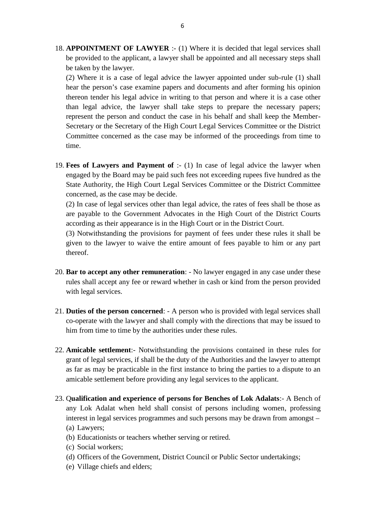18. **APPOINTMENT OF LAWYER** :- (1) Where it is decided that legal services shall be provided to the applicant, a lawyer shall be appointed and all necessary steps shall be taken by the lawyer.

(2) Where it is a case of legal advice the lawyer appointed under sub-rule (1) shall hear the person's case examine papers and documents and after forming his opinion thereon tender his legal advice in writing to that person and where it is a case other than legal advice, the lawyer shall take steps to prepare the necessary papers; represent the person and conduct the case in his behalf and shall keep the Member-Secretary or the Secretary of the High Court Legal Services Committee or the District Committee concerned as the case may be informed of the proceedings from time to time. Secretary or the Secretary of the High Court Legal Services Committee or the District<br>Committee concerned as the case may be informed of the proceedings from time to<br>time.<br>19. **Fees of Lawyers and Payment of** :- (1) In cas

engaged by the Board may be paid such fees not exceeding rupees five hundred as the State Authority, the High Court Legal Services Committee or the District Committee concerned, as the case may be decide.<br>(2) In case of le State Authority, the High Court Legal Services Committee or the District Committee concerned, as the case may be decide.

(2) In case of legal services other than legal advice, the rates of fees shall be those as according as their appearance is in the High Court or in the District Court.

(3) Notwithstanding the provisions for payment of fees under these rules it shall be given to the lawyer to waive the entire amount of fees payable to him or any part thereof. 20. **Bar to accept any other remuneration**: - No lawyer engaged in any case under these rules shall accept any other remuneration: - No lawyer engaged in any case under these rules shall accept any the or reward whether in

- rules shall accept any fee or reward whether in cash or kind from the person provided with legal services. 20. **Bar to accept any other remuneration**: - No lawyer engaged in any case under these rules shall accept any fee or reward whether in cash or kind from the person provided with legal services.<br>21. **Duties of the person c**
- co-operate with the lawyer and shall comply with the directions that may be issued to him from time to time by the authorities under these rules. 21. **Duties of the person concerned**: - A person who is provided with legal services shall co-operate with the lawyer and shall comply with the directions that may be issued to him from time to time by the authorities unde
- grant of legal services, if shall be the duty of the Authorities and the lawyer to attempt as far as may be practicable in the first instance to bring the parties to a dispute to an amicable settlement before providing any legal services to the applicant. external of legal services, if shall be the duty of the Authorities and the lawyer to attempt<br>as far as may be practicable in the first instance to bring the parties to a dispute to an<br>amicable settlement before providing
- any Lok Adalat when held shall consist of persons including women, professing amicable settlement before providing any legal services to the applicant.<br>Qualification and experience of persons for Benches of Lok Adalats:- A Bench of<br>any Lok Adalat when held shall consist of persons including women, p Qualification and<br>any Lok Adalat<br>interest in legal se<br>(a) Lawyers;<br>(b) Educationists Qualification and experience of persons for Benches of I<br>any Lok Adalat when held shall consist of persons inclu<br>interest in legal services programmes and such persons may<br>(a) Lawyers;<br>(b) Educationists or teachers whether any Lok Adalat when<br>interest in legal services<br>(a) Lawyers;<br>(b) Educationists or teac<br>(c) Social workers;<br>(d) Officers of the Gove The Government and such persons may be drawn from amongst<br>
(a) Lawyers;<br>
(b) Educationists or teachers whether serving or retired.<br>
(c) Social workers;<br>
(d) Officers of the Government, District Council or Public Sector und
	-
	-
	- (a) Lawyers;<br>
	(b) Educationists or teachers whether serving or retired.<br>
	(c) Social workers;<br>
	(d) Officers of the Government, District Council or Public Sector undertakings;<br>
	(e) Village chiefs and elders;
	-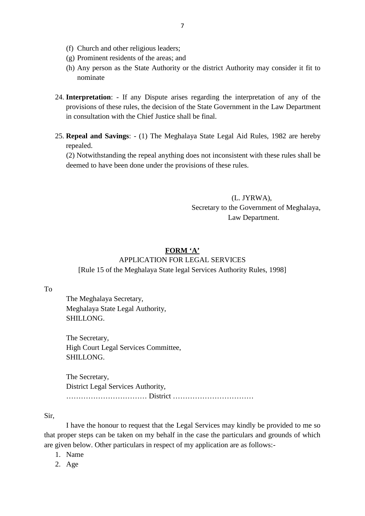- (f) Church and other religious leaders;<br>(g) Prominent residents of the areas; and
- 
- 7<br>(f) Church and other religious leaders;<br>(g) Prominent residents of the areas; and<br>(h) Any person as the State Authority or the dist <sup>7</sup><br>
(f) Church and other religious leaders;<br>
(g) Prominent residents of the areas; and<br>
(h) Any person as the State Authority or the district Authority may consider it fit to<br>
nominate nominate
- 24. **Interpretation**: If any Dispute arises regarding the interpretation of any of the provisions of these rules, the decision of the State Government in the Law Department provisions of these rules, the decision of the State Government in the Law Department in consultation with the Chief Justice shall be final. 24. **Interpretation**: - If any Dispute arises regarding the interpretation of any of the provisions of these rules, the decision of the State Government in the Law Department in consultation with the Chief Justice shall be
- repealed. Repeal and Savings: - (1) The Meghalaya State Legal Aid Rule<br>repealed.<br>(2) Notwithstanding the repeal anything does not inconsistent with<br>deemed to have been done under the provisions of these rules.

(2) Notwithstanding the repeal anything does not inconsistent with these rules shall be

(L. JYRWA), Secretary to the Government of Meghalaya, Law Department.

#### **FORM 'A'**

# APPLICATION FOR LEGAL SERVICES

To

[Rule 15 of the Meghalaya State legal Services Authority Rules, 1998] Meghalaya State Legal Authority, The Meghalaya Secretary, SHILLONG.

The Secretary, High Court Legal Services Committee, SHILLONG.

The Secretary, District Legal Services Authority, …………………………… District ……………………………

Sir,

I have the honour to request that the Legal Services may kindly be provided to me so that proper steps can be taken on my behalf in the case the particulars and grounds of which are given below. Other particulars in respect of my application are as follows:- I have the horn<br>proper steps can<br>given below. Othe<br>1. Name<br>2. Age

- 1. Name<br>2. Age
-